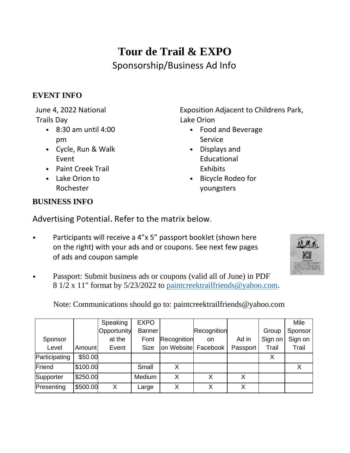## **Tour de Trail & EXPO** Sponsorship/Business Ad Info

## **EVENT INFO**

June 4, 2022 National Trails Day

- 8:30 am until 4:00 pm
- Cycle, Run & Walk Event
- Paint Creek Trail
- Lake Orion to Rochester

Exposition Adjacent to Childrens Park, Lake Orion

- Food and Beverage Service
- Displays and Educational **Exhibits**
- Bicycle Rodeo for youngsters

## **BUSINESS INFO**

Advertising Potential. Refer to the matrix below.

Participants will receive a 4"x 5" passport booklet (shown here on the right) with your ads and or coupons. See next few pages of ads and coupon sample



• Passport: Submit business ads or coupons (valid all of June) in PDF 8 1/2 x 11" format by 5/23/2022 to [paintcreektrailfriends@yahoo.com.](mailto:paintcreektrailfriends@yahoo.com)

Note: Communications should go to: paintcreektrailfriends@yahoo.com

|               |          | Speaking    | <b>EXPO</b>   |                     |             |          |         | Mile    |
|---------------|----------|-------------|---------------|---------------------|-------------|----------|---------|---------|
|               |          | Opportunity | <b>Banner</b> |                     | Recognition |          | Group   | Sponsor |
| Sponsor       |          | at the      | Font          | Recognition         | on          | Ad in    | Sign on | Sign on |
| Level         | Amount   | Event       | Size          | on Website Facebook |             | Passport | Trail   | Trail   |
| Participating | \$50.00  |             |               |                     |             |          |         |         |
| Friend        | \$100.00 |             | Small         | X                   |             |          |         |         |
| Supporter     | \$250.00 |             | Medium        | Χ                   |             | Х        |         |         |
| Presenting    | \$500.00 | X           | Large         | Χ                   | Χ           | Χ        |         |         |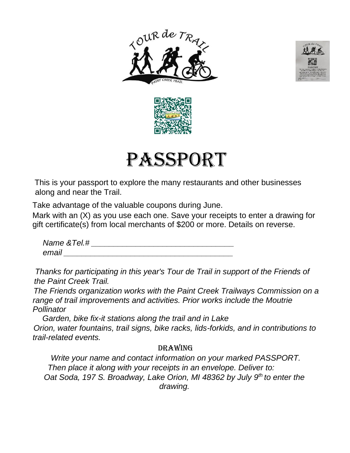







This is your passport to explore the many restaurants and other businesses along and near the Trail.

Take advantage of the valuable coupons during June.

Mark with an (X) as you use each one. Save your receipts to enter a drawing for gift certificate(s) from local merchants of \$200 or more. Details on reverse.

*Name &Tel.# \_\_\_\_\_\_\_\_\_\_\_\_\_\_\_\_\_\_\_\_\_\_\_\_\_\_\_\_\_\_\_\_ email \_\_\_\_\_\_\_\_\_\_\_\_\_\_\_\_\_\_\_\_\_\_\_\_\_\_\_\_\_\_\_\_\_\_\_\_\_\_* 

*Thanks for participating in this year's Tour de Trail in support of the Friends of the Paint Creek Trail.* 

*The Friends organization works with the Paint Creek Trailways Commission on a range of trail improvements and activities. Prior works include the Moutrie Pollinator*

*Garden, bike fix-it stations along the trail and in Lake Orion, water fountains, trail signs, bike racks, lids-forkids, and in contributions to trail-related events.*

## Drawing

*Write your name and contact information on your marked PASSPORT. Then place it along with your receipts in an envelope. Deliver to: Oat Soda, 197 S. Broadway, Lake Orion, MI 48362 by July 9th to enter the drawing.*